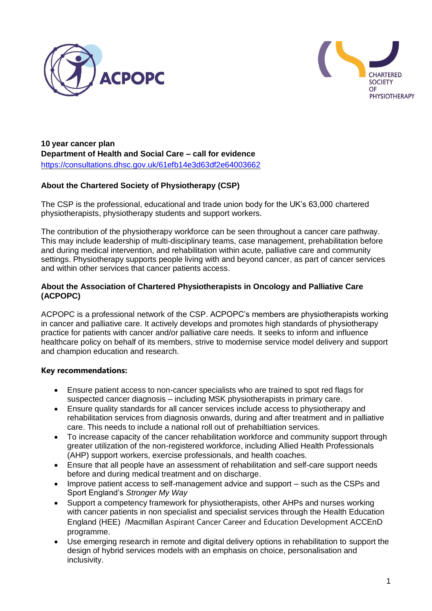



**10 year cancer plan Department of Health and Social Care – call for evidence**  <https://consultations.dhsc.gov.uk/61efb14e3d63df2e64003662>

# **About the Chartered Society of Physiotherapy (CSP)**

The CSP is the professional, educational and trade union body for the UK's 63,000 chartered physiotherapists, physiotherapy students and support workers.

The contribution of the physiotherapy workforce can be seen throughout a cancer care pathway. This may include leadership of multi-disciplinary teams, case management, prehabilitation before and during medical intervention, and rehabilitation within acute, palliative care and community settings. Physiotherapy supports people living with and beyond cancer, as part of cancer services and within other services that cancer patients access.

### **About the Association of Chartered Physiotherapists in Oncology and Palliative Care (ACPOPC)**

ACPOPC is a professional network of the CSP. ACPOPC's members are physiotherapists working in cancer and palliative care. It actively develops and promotes high standards of physiotherapy practice for patients with cancer and/or palliative care needs. It seeks to inform and influence healthcare policy on behalf of its members, strive to modernise service model delivery and support and champion education and research.

### **Key recommendations:**

- Ensure patient access to non-cancer specialists who are trained to spot red flags for suspected cancer diagnosis – including MSK physiotherapists in primary care.
- Ensure quality standards for all cancer services include access to physiotherapy and rehabilitation services from diagnosis onwards, during and after treatment and in palliative care. This needs to include a national roll out of prehabiltiation services.
- To increase capacity of the cancer rehabilitation workforce and community support through greater utilization of the non-registered workforce, including Allied Health Professionals (AHP) support workers, exercise professionals, and health coaches.
- Ensure that all people have an assessment of rehabilitation and self-care support needs before and during medical treatment and on discharge.
- Improve patient access to self-management advice and support such as the CSPs and Sport England's *Stronger My Way*
- Support a competency framework for physiotherapists, other AHPs and nurses working with cancer patients in non specialist and specialist services through the Health Education England (HEE) /Macmillan Aspirant Cancer Career and Education Development ACCEnD programme.
- Use emerging research in remote and digital delivery options in rehabilitation to support the design of hybrid services models with an emphasis on choice, personalisation and inclusivity.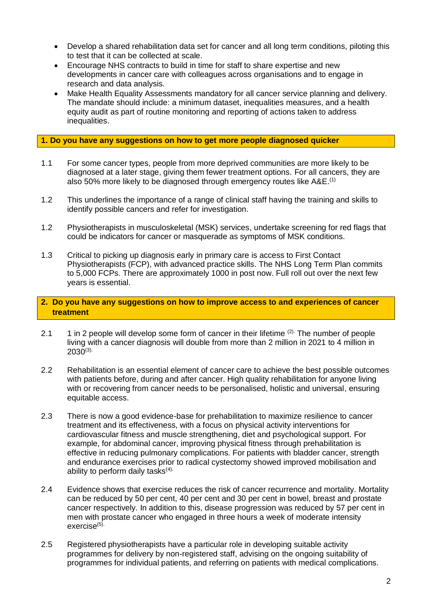- Develop a shared rehabilitation data set for cancer and all long term conditions, piloting this to test that it can be collected at scale.
- Encourage NHS contracts to build in time for staff to share expertise and new developments in cancer care with colleagues across organisations and to engage in research and data analysis.
- Make Health Equality Assessments mandatory for all cancer service planning and delivery. The mandate should include: a minimum dataset, inequalities measures, and a health equity audit as part of routine monitoring and reporting of actions taken to address inequalities.

#### **1. Do you have any suggestions on how to get more people diagnosed quicker**

- 1.1 For some cancer types, people from more deprived communities are more likely to be diagnosed at a later stage, giving them fewer treatment options. For all cancers, they are also 50% more likely to be diagnosed through emergency routes like A&E.<sup>(1)</sup>
- 1.2 This underlines the importance of a range of clinical staff having the training and skills to identify possible cancers and refer for investigation.
- 1.2 Physiotherapists in musculoskeletal (MSK) services, undertake screening for red flags that could be indicators for cancer or masquerade as symptoms of MSK conditions.
- 1.3 Critical to picking up diagnosis early in primary care is access to First Contact Physiotherapists (FCP), with advanced practice skills. The NHS Long Term Plan commits to 5,000 FCPs. There are approximately 1000 in post now. Full roll out over the next few years is essential.

## **2. Do you have any suggestions on how to improve access to and experiences of cancer treatment**

- 2.1 1 in 2 people will develop some form of cancer in their lifetime  $(2)$ . The number of people living with a cancer diagnosis will double from more than 2 million in 2021 to 4 million in  $2030^{(3)}$
- 2.2 Rehabilitation is an essential element of cancer care to achieve the best possible outcomes with patients before, during and after cancer. High quality rehabilitation for anyone living with or recovering from cancer needs to be personalised, holistic and universal, ensuring equitable access.
- 2.3 There is now a good evidence-base for prehabilitation to maximize resilience to cancer treatment and its effectiveness, with a focus on physical activity interventions for cardiovascular fitness and muscle strengthening, diet and psychological support. For example, for abdominal cancer, improving physical fitness through prehabilitation is effective in reducing pulmonary complications. For patients with bladder cancer, strength and endurance exercises prior to radical cystectomy showed improved mobilisation and ability to perform daily tasks $(4)$ .
- 2.4 Evidence shows that exercise reduces the risk of cancer recurrence and mortality. Mortality can be reduced by 50 per cent, 40 per cent and 30 per cent in bowel, breast and prostate cancer respectively. In addition to this, disease progression was reduced by 57 per cent in men with prostate cancer who engaged in three hours a week of moderate intensity exercise<sup>(5).</sup>
- 2.5 Registered physiotherapists have a particular role in developing suitable activity programmes for delivery by non-registered staff, advising on the ongoing suitability of programmes for individual patients, and referring on patients with medical complications.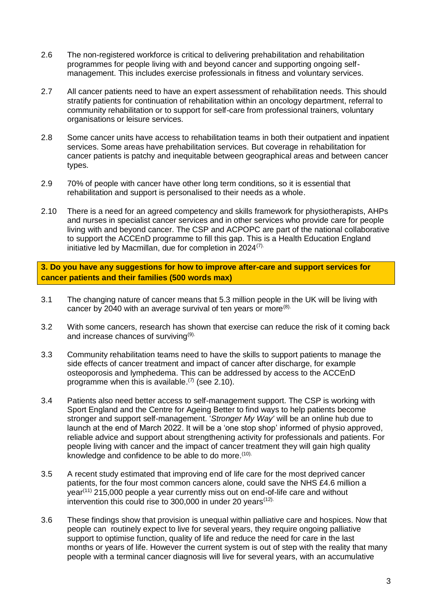- 2.6 The non-registered workforce is critical to delivering prehabilitation and rehabilitation programmes for people living with and beyond cancer and supporting ongoing selfmanagement. This includes exercise professionals in fitness and voluntary services.
- 2.7 All cancer patients need to have an expert assessment of rehabilitation needs. This should stratify patients for continuation of rehabilitation within an oncology department, referral to community rehabilitation or to support for self-care from professional trainers, voluntary organisations or leisure services.
- 2.8 Some cancer units have access to rehabilitation teams in both their outpatient and inpatient services. Some areas have prehabilitation services. But coverage in rehabilitation for cancer patients is patchy and inequitable between geographical areas and between cancer types.
- 2.9 70% of people with cancer have other long term conditions, so it is essential that rehabilitation and support is personalised to their needs as a whole.
- 2.10 There is a need for an agreed competency and skills framework for physiotherapists, AHPs and nurses in specialist cancer services and in other services who provide care for people living with and beyond cancer. The CSP and ACPOPC are part of the national collaborative to support the ACCEnD programme to fill this gap. This is a Health Education England initiative led by Macmillan, due for completion in 2024(7).

**3. Do you have any suggestions for how to improve after-care and support services for cancer patients and their families (500 words max)**

- 3.1 The changing nature of cancer means that 5.3 million people in the UK will be living with cancer by 2040 with an average survival of ten years or more $(8)$ .
- 3.2 With some cancers, research has shown that exercise can reduce the risk of it coming back and increase chances of surviving<sup>(9).</sup>
- 3.3 Community rehabilitation teams need to have the skills to support patients to manage the side effects of cancer treatment and impact of cancer after discharge, for example osteoporosis and lymphedema. This can be addressed by access to the ACCEnD programme when this is available.<sup> $(7)$ </sup> (see 2.10).
- 3.4 Patients also need better access to self-management support. The CSP is working with Sport England and the Centre for Ageing Better to find ways to help patients become stronger and support self-management. '*Stronger My Way'* will be an online hub due to launch at the end of March 2022. It will be a 'one stop shop' informed of physio approved, reliable advice and support about strengthening activity for professionals and patients. For people living with cancer and the impact of cancer treatment they will gain high quality knowledge and confidence to be able to do more.<sup>(10).</sup>
- 3.5 A recent study estimated that improving end of life care for the most deprived cancer patients, for the four most common cancers alone, could save the NHS £4.6 million a  $\gamma$ ear<sup>(11)</sup> 215,000 people a year currently miss out on end-of-life care and without intervention this could rise to 300,000 in under 20 years<sup> $(12)$ </sup>
- 3.6 These findings show that provision is unequal within palliative care and hospices. Now that people can routinely expect to live for several years, they require ongoing palliative support to optimise function, quality of life and reduce the need for care in the last months or years of life. However the current system is out of step with the reality that many people with a terminal cancer diagnosis will live for several years, with an accumulative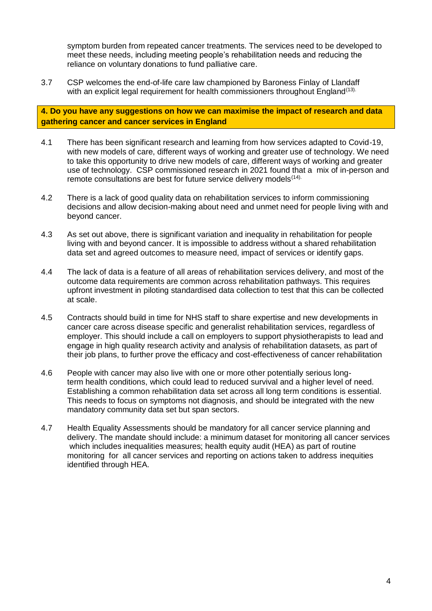symptom burden from repeated cancer treatments. The services need to be developed to meet these needs, including meeting people's rehabilitation needs and reducing the reliance on voluntary donations to fund palliative care.

3.7 CSP welcomes the end-of-life care law championed by Baroness Finlay of Llandaff with an explicit legal requirement for health commissioners throughout England<sup>(13).</sup>

**4. Do you have any suggestions on how we can maximise the impact of research and data gathering cancer and cancer services in England**

- 4.1 There has been significant research and learning from how services adapted to Covid-19, with new models of care, different ways of working and greater use of technology. We need to take this opportunity to drive new models of care, different ways of working and greater use of technology. CSP commissioned research in 2021 found that a mix of in-person and remote consultations are best for future service delivery models<sup>(14).</sup>
- 4.2 There is a lack of good quality data on rehabilitation services to inform commissioning decisions and allow decision-making about need and unmet need for people living with and beyond cancer.
- 4.3 As set out above, there is significant variation and inequality in rehabilitation for people living with and beyond cancer. It is impossible to address without a shared rehabilitation data set and agreed outcomes to measure need, impact of services or identify gaps.
- 4.4 The lack of data is a feature of all areas of rehabilitation services delivery, and most of the outcome data requirements are common across rehabilitation pathways. This requires upfront investment in piloting standardised data collection to test that this can be collected at scale.
- 4.5 Contracts should build in time for NHS staff to share expertise and new developments in cancer care across disease specific and generalist rehabilitation services, regardless of employer. This should include a call on employers to support physiotherapists to lead and engage in high quality research activity and analysis of rehabilitation datasets, as part of their job plans, to further prove the efficacy and cost-effectiveness of cancer rehabilitation
- 4.6 People with cancer may also live with one or more other potentially serious longterm health conditions, which could lead to reduced survival and a higher level of need. Establishing a common rehabilitation data set across all long term conditions is essential. This needs to focus on symptoms not diagnosis, and should be integrated with the new mandatory community data set but span sectors.
- 4.7 Health Equality Assessments should be mandatory for all cancer service planning and delivery. The mandate should include: a minimum dataset for monitoring all cancer services which includes inequalities measures; health equity audit (HEA) as part of routine monitoring for all cancer services and reporting on actions taken to address inequities identified through HEA.